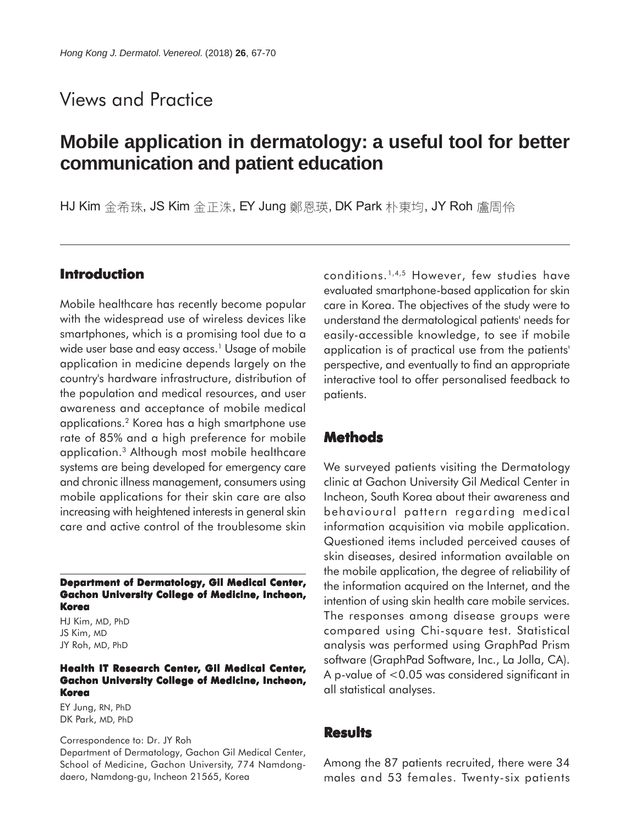# Views and Practice

# **Mobile application in dermatology: a useful tool for better communication and patient education**

HJ Kim 金希珠, JS Kim 金正洙, EY Jung 鄭恩瑛, DK Park 朴東均, JY Roh 盧周伶

#### **Introduction**

Mobile healthcare has recently become popular with the widespread use of wireless devices like smartphones, which is a promising tool due to a wide user base and easy access.<sup>1</sup> Usage of mobile application in medicine depends largely on the country's hardware infrastructure, distribution of the population and medical resources, and user awareness and acceptance of mobile medical applications.2 Korea has a high smartphone use rate of 85% and a high preference for mobile application.3 Although most mobile healthcare systems are being developed for emergency care and chronic illness management, consumers using mobile applications for their skin care are also increasing with heightened interests in general skin care and active control of the troublesome skin

**Department of Dermatology, Gil Medical Center, Gachon University College of Medicine, Incheon, Korea**

HJ Kim, MD, PhD JS Kim, MD JY Roh, MD, PhD

#### **Health IT Research Center, Gil Medical Center, Gachon University College of Medicine, Incheon, Korea**

EY Jung, RN, PhD DK Park, MD, PhD

Correspondence to: Dr. JY Roh

Department of Dermatology, Gachon Gil Medical Center, School of Medicine, Gachon University, 774 Namdongdaero, Namdong-gu, Incheon 21565, Korea

conditions.1,4,5 However, few studies have evaluated smartphone-based application for skin care in Korea. The objectives of the study were to understand the dermatological patients' needs for easily-accessible knowledge, to see if mobile application is of practical use from the patients' perspective, and eventually to find an appropriate interactive tool to offer personalised feedback to patients.

## **Methods**

We surveyed patients visiting the Dermatology clinic at Gachon University Gil Medical Center in Incheon, South Korea about their awareness and behavioural pattern regarding medical information acquisition via mobile application. Questioned items included perceived causes of skin diseases, desired information available on the mobile application, the degree of reliability of the information acquired on the Internet, and the intention of using skin health care mobile services. The responses among disease groups were compared using Chi-square test. Statistical analysis was performed using GraphPad Prism software (GraphPad Software, Inc., La Jolla, CA). A p-value of <0.05 was considered significant in all statistical analyses.

#### **Results**

Among the 87 patients recruited, there were 34 males and 53 females. Twenty-six patients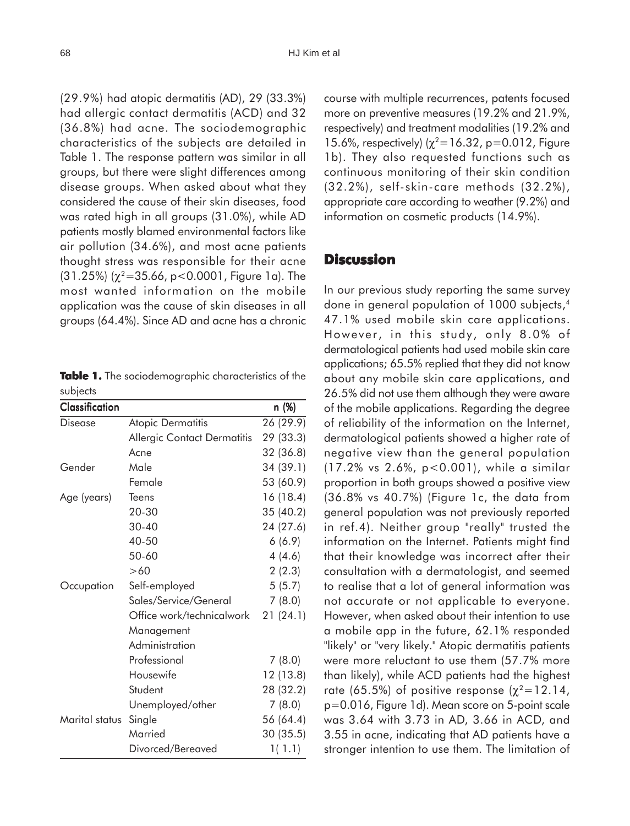(29.9%) had atopic dermatitis (AD), 29 (33.3%) had allergic contact dermatitis (ACD) and 32 (36.8%) had acne. The sociodemographic characteristics of the subjects are detailed in Table 1. The response pattern was similar in all groups, but there were slight differences among disease groups. When asked about what they considered the cause of their skin diseases, food was rated high in all groups (31.0%), while AD patients mostly blamed environmental factors like air pollution (34.6%), and most acne patients thought stress was responsible for their acne (31.25%) ( $\chi^2$ =35.66, p<0.0001, Figure 1a). The most wanted information on the mobile application was the cause of skin diseases in all groups (64.4%). Since AD and acne has a chronic

**Table 1.** The sociodemographic characteristics of the subjects

| <b>Classification</b> |                                     | n (%)     |
|-----------------------|-------------------------------------|-----------|
| <b>Disease</b>        | <b>Atopic Dermatitis</b>            | 26 (29.9) |
|                       | Allergic Contact Dermatitis         | 29 (33.3) |
|                       | Acne                                | 32 (36.8) |
| Gender                | Male                                | 34 (39.1) |
|                       | Female                              | 53 (60.9) |
| Age (years)           | <b>Teens</b>                        | 16 (18.4) |
|                       | 20-30                               | 35 (40.2) |
|                       | 30-40                               | 24 (27.6) |
|                       | 40-50                               | 6(6.9)    |
|                       | 50-60                               | 4(4.6)    |
|                       | >60                                 | 2(2.3)    |
| Occupation            | Self-employed                       | 5(5.7)    |
|                       | Sales/Service/General               | 7(8.0)    |
|                       | Office work/technicalwork 21 (24.1) |           |
|                       | Management                          |           |
|                       | Administration                      |           |
|                       | Professional                        | 7(8.0)    |
|                       | Housewife                           | 12 (13.8) |
|                       | Student                             | 28 (32.2) |
|                       | Unemployed/other                    | 7(8.0)    |
| Marital status        | Single                              | 56 (64.4) |
|                       | Married                             | 30 (35.5) |
|                       | Divorced/Bereaved                   | 1(1.1)    |

course with multiple recurrences, patents focused more on preventive measures (19.2% and 21.9%, respectively) and treatment modalities (19.2% and 15.6%, respectively)  $(\chi^2=16.32, p=0.012,$  Figure 1b). They also requested functions such as continuous monitoring of their skin condition (32.2%), self-skin-care methods (32.2%), appropriate care according to weather (9.2%) and information on cosmetic products (14.9%).

# **Discussion**

In our previous study reporting the same survey done in general population of 1000 subjects,4 47.1% used mobile skin care applications. However, in this study, only 8.0% of dermatological patients had used mobile skin care applications; 65.5% replied that they did not know about any mobile skin care applications, and 26.5% did not use them although they were aware of the mobile applications. Regarding the degree of reliability of the information on the Internet, dermatological patients showed a higher rate of negative view than the general population (17.2% vs 2.6%, p<0.001), while a similar proportion in both groups showed a positive view (36.8% vs 40.7%) (Figure 1c, the data from general population was not previously reported in ref.4). Neither group "really" trusted the information on the Internet. Patients might find that their knowledge was incorrect after their consultation with a dermatologist, and seemed to realise that a lot of general information was not accurate or not applicable to everyone. However, when asked about their intention to use a mobile app in the future, 62.1% responded "likely" or "very likely." Atopic dermatitis patients were more reluctant to use them (57.7% more than likely), while ACD patients had the highest rate (65.5%) of positive response ( $\chi^2$ =12.14, p=0.016, Figure 1d). Mean score on 5-point scale was 3.64 with 3.73 in AD, 3.66 in ACD, and 3.55 in acne, indicating that AD patients have a stronger intention to use them. The limitation of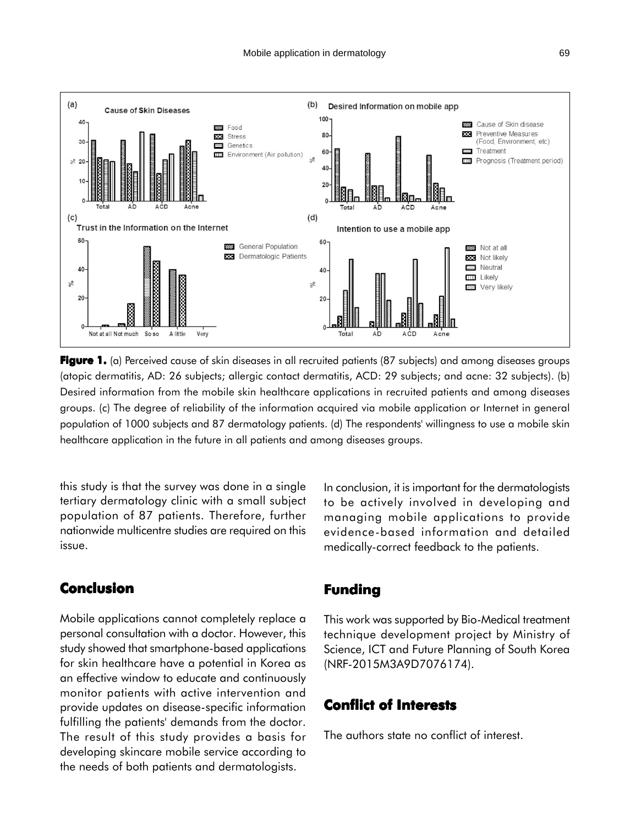

**Figure 1.** (a) Perceived cause of skin diseases in all recruited patients (87 subjects) and among diseases groups (atopic dermatitis, AD: 26 subjects; allergic contact dermatitis, ACD: 29 subjects; and acne: 32 subjects). (b) Desired information from the mobile skin healthcare applications in recruited patients and among diseases groups. (c) The degree of reliability of the information acquired via mobile application or Internet in general population of 1000 subjects and 87 dermatology patients. (d) The respondents' willingness to use a mobile skin healthcare application in the future in all patients and among diseases groups.

this study is that the survey was done in a single tertiary dermatology clinic with a small subject population of 87 patients. Therefore, further nationwide multicentre studies are required on this issue.

### **Conclusion**

Mobile applications cannot completely replace a personal consultation with a doctor. However, this study showed that smartphone-based applications for skin healthcare have a potential in Korea as an effective window to educate and continuously monitor patients with active intervention and provide updates on disease-specific information fulfilling the patients' demands from the doctor. The result of this study provides a basis for developing skincare mobile service according to the needs of both patients and dermatologists.

In conclusion, it is important for the dermatologists to be actively involved in developing and managing mobile applications to provide evidence-based information and detailed medically-correct feedback to the patients.

#### **Funding**

This work was supported by Bio-Medical treatment technique development project by Ministry of Science, ICT and Future Planning of South Korea (NRF-2015M3A9D7076174).

# **Conflict of Interests**

The authors state no conflict of interest.